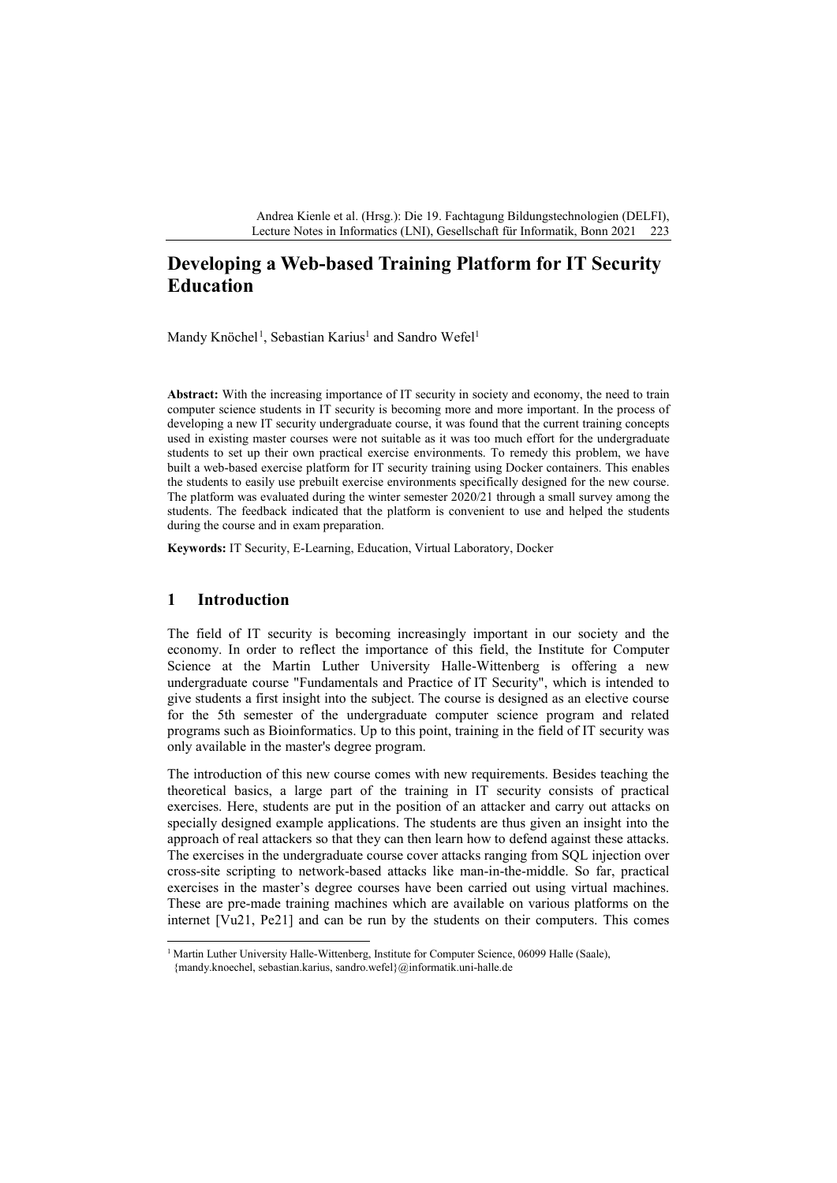Andrea Kienle et al. (Hrsg.): Die 19. Fachtagung Bildungstechnologien (DELFI), Lecture Notes in Informatics (LNI), Gesellschaft für Informatik, Bonn 2021 223

# **Developing a Web-based Training Platform for IT Security Education**

Mandy Knöchel<sup>[1](#page-0-0)</sup>, Sebastian Karius<sup>1</sup> and Sandro Wefel<sup>1</sup>

**Abstract:** With the increasing importance of IT security in society and economy, the need to train computer science students in IT security is becoming more and more important. In the process of developing a new IT security undergraduate course, it was found that the current training concepts used in existing master courses were not suitable as it was too much effort for the undergraduate students to set up their own practical exercise environments. To remedy this problem, we have built a web-based exercise platform for IT security training using Docker containers. This enables the students to easily use prebuilt exercise environments specifically designed for the new course. The platform was evaluated during the winter semester 2020/21 through a small survey among the students. The feedback indicated that the platform is convenient to use and helped the students during the course and in exam preparation.

**Keywords:** IT Security, E-Learning, Education, Virtual Laboratory, Docker

## **1 Introduction**

The field of IT security is becoming increasingly important in our society and the economy. In order to reflect the importance of this field, the Institute for Computer Science at the Martin Luther University Halle-Wittenberg is offering a new undergraduate course "Fundamentals and Practice of IT Security", which is intended to give students a first insight into the subject. The course is designed as an elective course for the 5th semester of the undergraduate computer science program and related programs such as Bioinformatics. Up to this point, training in the field of IT security was only available in the master's degree program.

The introduction of this new course comes with new requirements. Besides teaching the theoretical basics, a large part of the training in IT security consists of practical exercises. Here, students are put in the position of an attacker and carry out attacks on specially designed example applications. The students are thus given an insight into the approach of real attackers so that they can then learn how to defend against these attacks. The exercises in the undergraduate course cover attacks ranging from SQL injection over cross-site scripting to network-based attacks like man-in-the-middle. So far, practical exercises in the master's degree courses have been carried out using virtual machines. These are pre-made training machines which are available on various platforms on the internet [Vu21, Pe21] and can be run by the students on their computers. This comes

<span id="page-0-0"></span><sup>&</sup>lt;sup>1</sup> Martin Luther University Halle-Wittenberg, Institute for Computer Science, 06099 Halle (Saale), {mandy.knoechel, sebastian.karius, sandro.wefel}@informatik.uni-halle.de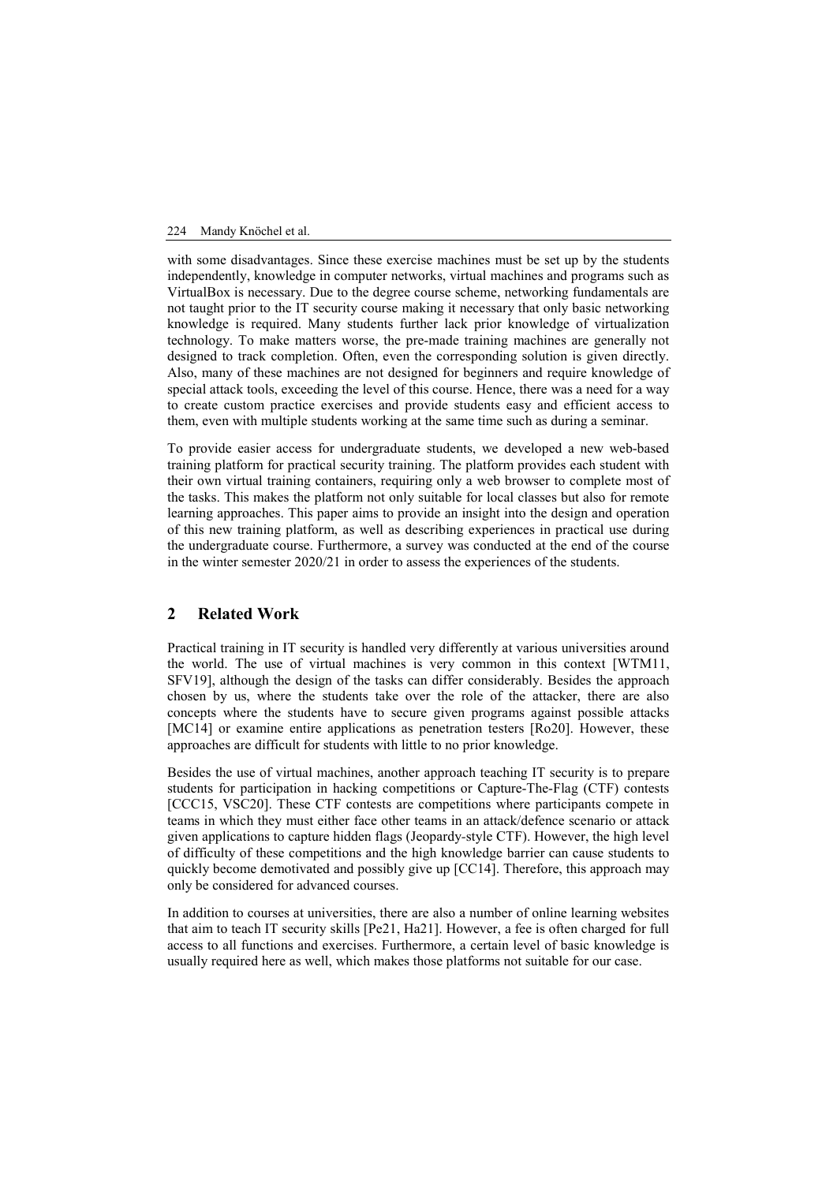#### 224 Mandy Knöchel et al.

with some disadvantages. Since these exercise machines must be set up by the students independently, knowledge in computer networks, virtual machines and programs such as VirtualBox is necessary. Due to the degree course scheme, networking fundamentals are not taught prior to the IT security course making it necessary that only basic networking knowledge is required. Many students further lack prior knowledge of virtualization technology. To make matters worse, the pre-made training machines are generally not designed to track completion. Often, even the corresponding solution is given directly. Also, many of these machines are not designed for beginners and require knowledge of special attack tools, exceeding the level of this course. Hence, there was a need for a way to create custom practice exercises and provide students easy and efficient access to them, even with multiple students working at the same time such as during a seminar.

To provide easier access for undergraduate students, we developed a new web-based training platform for practical security training. The platform provides each student with their own virtual training containers, requiring only a web browser to complete most of the tasks. This makes the platform not only suitable for local classes but also for remote learning approaches. This paper aims to provide an insight into the design and operation of this new training platform, as well as describing experiences in practical use during the undergraduate course. Furthermore, a survey was conducted at the end of the course in the winter semester 2020/21 in order to assess the experiences of the students.

## **2 Related Work**

Practical training in IT security is handled very differently at various universities around the world. The use of virtual machines is very common in this context [WTM11, SFV19], although the design of the tasks can differ considerably. Besides the approach chosen by us, where the students take over the role of the attacker, there are also concepts where the students have to secure given programs against possible attacks [MC14] or examine entire applications as penetration testers [Ro20]. However, these approaches are difficult for students with little to no prior knowledge.

Besides the use of virtual machines, another approach teaching IT security is to prepare students for participation in hacking competitions or Capture-The-Flag (CTF) contests [CCC15, VSC20]. These CTF contests are competitions where participants compete in teams in which they must either face other teams in an attack/defence scenario or attack given applications to capture hidden flags (Jeopardy*-*style CTF). However, the high level of difficulty of these competitions and the high knowledge barrier can cause students to quickly become demotivated and possibly give up [CC14]. Therefore, this approach may only be considered for advanced courses.

In addition to courses at universities, there are also a number of online learning websites that aim to teach IT security skills [Pe21, Ha21]. However, a fee is often charged for full access to all functions and exercises. Furthermore, a certain level of basic knowledge is usually required here as well, which makes those platforms not suitable for our case.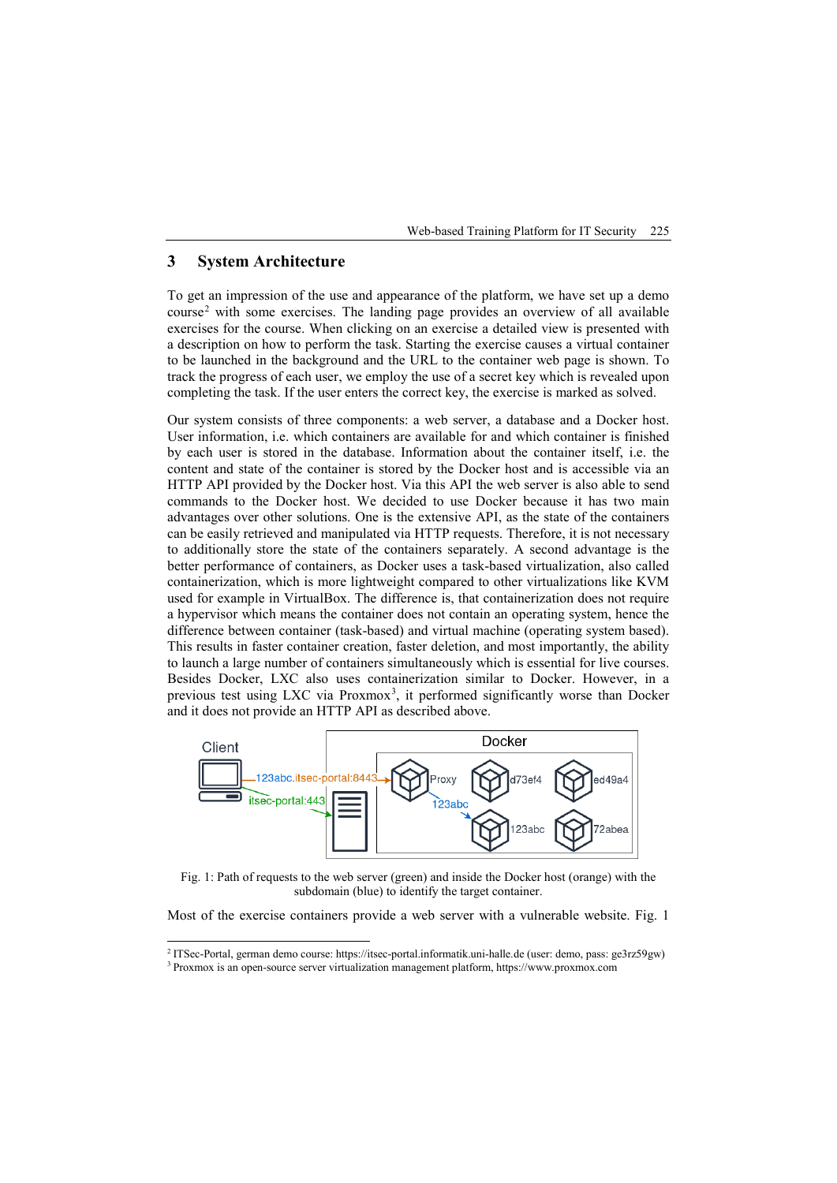Web-based Training Platform for IT Security 225

## **3 System Architecture**

To get an impression of the use and appearance of the platform, we have set up a demo  $course<sup>2</sup>$  $course<sup>2</sup>$  $course<sup>2</sup>$  with some exercises. The landing page provides an overview of all available exercises for the course. When clicking on an exercise a detailed view is presented with a description on how to perform the task. Starting the exercise causes a virtual container to be launched in the background and the URL to the container web page is shown. To track the progress of each user, we employ the use of a secret key which is revealed upon completing the task. If the user enters the correct key, the exercise is marked as solved.

Our system consists of three components: a web server, a database and a Docker host. User information, i.e. which containers are available for and which container is finished by each user is stored in the database. Information about the container itself, i.e. the content and state of the container is stored by the Docker host and is accessible via an HTTP API provided by the Docker host. Via this API the web server is also able to send commands to the Docker host. We decided to use Docker because it has two main advantages over other solutions. One is the extensive API, as the state of the containers can be easily retrieved and manipulated via HTTP requests. Therefore, it is not necessary to additionally store the state of the containers separately. A second advantage is the better performance of containers, as Docker uses a task-based virtualization, also called containerization, which is more lightweight compared to other virtualizations like KVM used for example in VirtualBox. The difference is, that containerization does not require a hypervisor which means the container does not contain an operating system, hence the difference between container (task-based) and virtual machine (operating system based). This results in faster container creation, faster deletion, and most importantly, the ability to launch a large number of containers simultaneously which is essential for live courses. Besides Docker, LXC also uses containerization similar to Docker. However, in a previous test using LXC via Proxmox<sup>[3](#page-2-1)</sup>, it performed significantly worse than Docker and it does not provide an HTTP API as described above.



Fig. 1: Path of requests to the web server (green) and inside the Docker host (orange) with the subdomain (blue) to identify the target container.

Most of the exercise containers provide a web server with a vulnerable website. Fig. 1

<sup>&</sup>lt;sup>2</sup> ITSec-Portal, german demo course: https://itsec-portal.informatik.uni-halle.de (user: demo, pass: ge3rz59gw)  $3$  Proxmox is an open-source server virtualization management platform, https://www.proxmox.com

<span id="page-2-1"></span><span id="page-2-0"></span>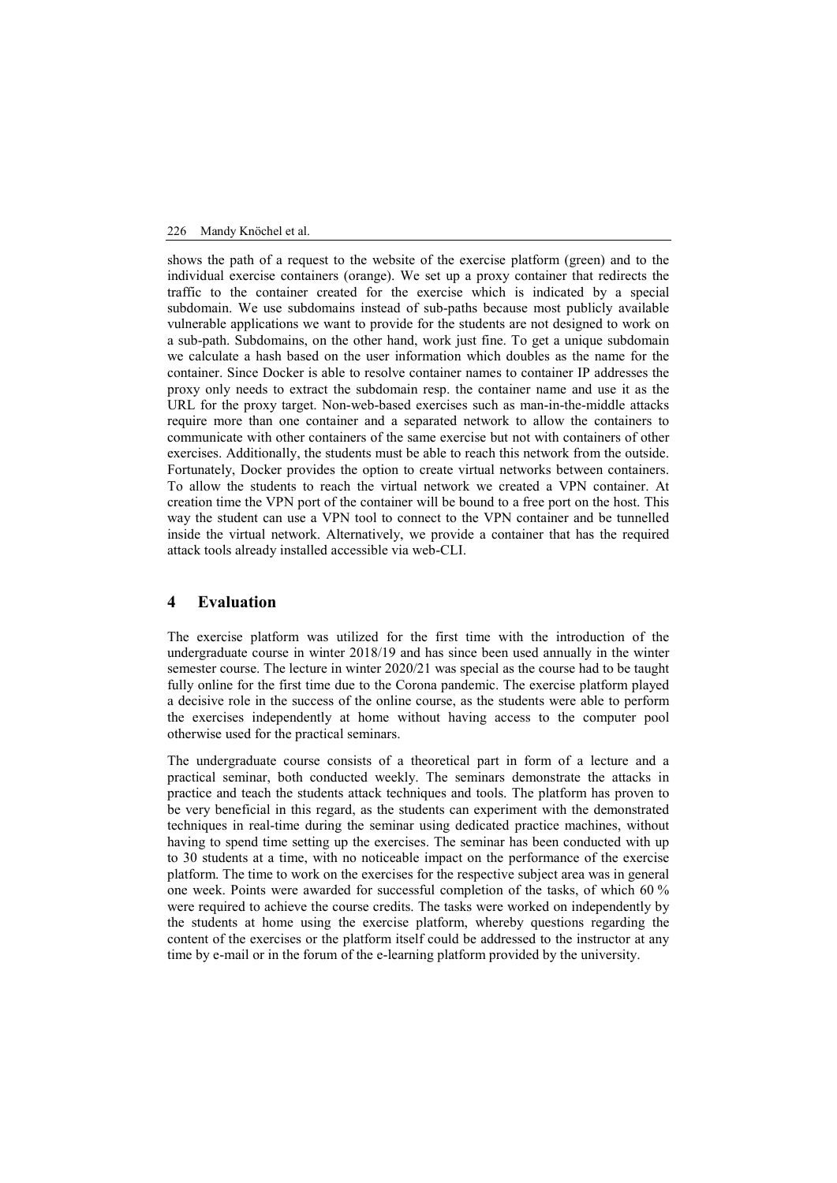#### 226 Mandy Knöchel et al.

shows the path of a request to the website of the exercise platform (green) and to the individual exercise containers (orange). We set up a proxy container that redirects the traffic to the container created for the exercise which is indicated by a special subdomain. We use subdomains instead of sub-paths because most publicly available vulnerable applications we want to provide for the students are not designed to work on a sub-path. Subdomains, on the other hand, work just fine. To get a unique subdomain we calculate a hash based on the user information which doubles as the name for the container. Since Docker is able to resolve container names to container IP addresses the proxy only needs to extract the subdomain resp. the container name and use it as the URL for the proxy target. Non-web-based exercises such as man-in-the-middle attacks require more than one container and a separated network to allow the containers to communicate with other containers of the same exercise but not with containers of other exercises. Additionally, the students must be able to reach this network from the outside. Fortunately, Docker provides the option to create virtual networks between containers. To allow the students to reach the virtual network we created a VPN container. At creation time the VPN port of the container will be bound to a free port on the host. This way the student can use a VPN tool to connect to the VPN container and be tunnelled inside the virtual network. Alternatively, we provide a container that has the required attack tools already installed accessible via web-CLI.

## **4 Evaluation**

The exercise platform was utilized for the first time with the introduction of the undergraduate course in winter 2018/19 and has since been used annually in the winter semester course. The lecture in winter 2020/21 was special as the course had to be taught fully online for the first time due to the Corona pandemic. The exercise platform played a decisive role in the success of the online course, as the students were able to perform the exercises independently at home without having access to the computer pool otherwise used for the practical seminars.

The undergraduate course consists of a theoretical part in form of a lecture and a practical seminar, both conducted weekly. The seminars demonstrate the attacks in practice and teach the students attack techniques and tools. The platform has proven to be very beneficial in this regard, as the students can experiment with the demonstrated techniques in real-time during the seminar using dedicated practice machines, without having to spend time setting up the exercises. The seminar has been conducted with up to 30 students at a time, with no noticeable impact on the performance of the exercise platform. The time to work on the exercises for the respective subject area was in general one week. Points were awarded for successful completion of the tasks, of which 60 % were required to achieve the course credits. The tasks were worked on independently by the students at home using the exercise platform, whereby questions regarding the content of the exercises or the platform itself could be addressed to the instructor at any time by e-mail or in the forum of the e-learning platform provided by the university.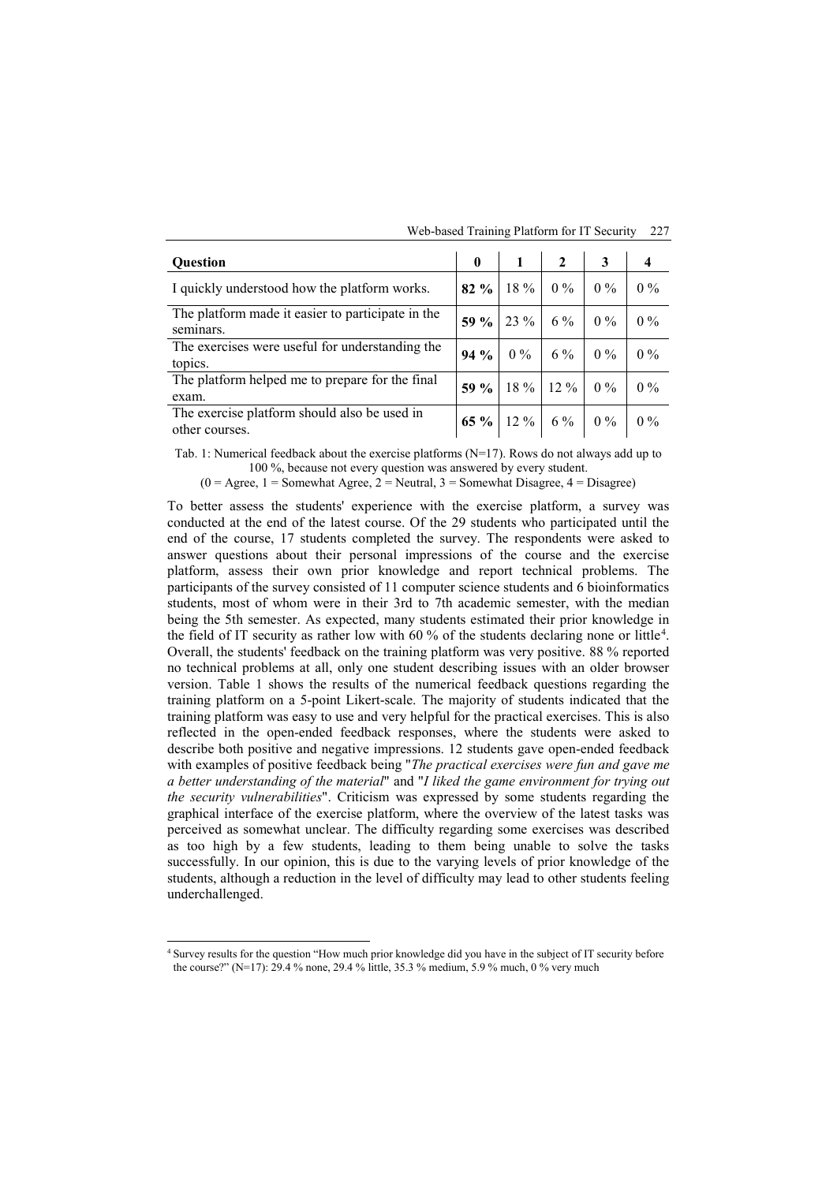| <b>Ouestion</b>                                                | $\mathbf{0}$ |           | $\overline{2}$    |                                                                |       |
|----------------------------------------------------------------|--------------|-----------|-------------------|----------------------------------------------------------------|-------|
| I quickly understood how the platform works.                   |              | 82 % 18 % | $0\%$             | $\begin{array}{ c c c c c } \hline 0 & 0 & \hline \end{array}$ | $0\%$ |
| The platform made it easier to participate in the<br>seminars. |              | 59 % 23 % | 6 %               | $0\%$                                                          | $0\%$ |
| The exercises were useful for understanding the<br>topics.     | $94\%$       | $0\%$     | 6 %               | $\vert 0\%$                                                    | $0\%$ |
| The platform helped me to prepare for the final<br>exam.       | $59 \%$      |           | $18\%$ 12 %       | $0\%$                                                          | $0\%$ |
| The exercise platform should also be used in<br>other courses. |              |           | 65 % 12 % 6 % 0 % |                                                                | $0\%$ |

Web-based Training Platform for IT Security 227

Tab. 1: Numerical feedback about the exercise platforms (N=17). Rows do not always add up to 100 %, because not every question was answered by every student.

 $(0 = \text{Agree}, 1 = \text{Somewhat Agree}, 2 = \text{Neutral}, 3 = \text{Somewhat Disagree}, 4 = \text{Disagree})$ 

To better assess the students' experience with the exercise platform, a survey was conducted at the end of the latest course. Of the 29 students who participated until the end of the course, 17 students completed the survey. The respondents were asked to answer questions about their personal impressions of the course and the exercise platform, assess their own prior knowledge and report technical problems. The participants of the survey consisted of 11 computer science students and 6 bioinformatics students, most of whom were in their 3rd to 7th academic semester, with the median being the 5th semester. As expected, many students estimated their prior knowledge in the field of IT security as rather low with 60 % of the students declaring none or little<sup>[4](#page-4-0)</sup>. Overall, the students' feedback on the training platform was very positive. 88 % reported no technical problems at all, only one student describing issues with an older browser version. Table 1 shows the results of the numerical feedback questions regarding the training platform on a 5-point Likert-scale. The majority of students indicated that the training platform was easy to use and very helpful for the practical exercises. This is also reflected in the open-ended feedback responses, where the students were asked to describe both positive and negative impressions. 12 students gave open-ended feedback with examples of positive feedback being "*The practical exercises were fun and gave me a better understanding of the material*" and "*I liked the game environment for trying out the security vulnerabilities*". Criticism was expressed by some students regarding the graphical interface of the exercise platform, where the overview of the latest tasks was perceived as somewhat unclear. The difficulty regarding some exercises was described as too high by a few students, leading to them being unable to solve the tasks successfully. In our opinion, this is due to the varying levels of prior knowledge of the students, although a reduction in the level of difficulty may lead to other students feeling underchallenged.

<span id="page-4-0"></span> <sup>4</sup> Survey results for the question "How much prior knowledge did you have in the subject of IT security before the course?" (N=17): 29.4 % none, 29.4 % little, 35.3 % medium, 5.9 % much, 0 % very much